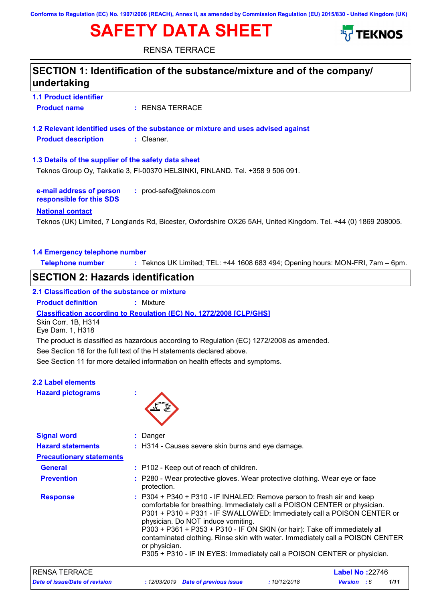# **SAFETY DATA SHEET**





RENSA TERRACE

| undertaking                                          | SECTION 1: Identification of the substance/mixture and of the company/                                                                                                                                                                                            |
|------------------------------------------------------|-------------------------------------------------------------------------------------------------------------------------------------------------------------------------------------------------------------------------------------------------------------------|
| <b>1.1 Product identifier</b>                        |                                                                                                                                                                                                                                                                   |
| <b>Product name</b>                                  | : RENSA TERRACE                                                                                                                                                                                                                                                   |
|                                                      | 1.2 Relevant identified uses of the substance or mixture and uses advised against                                                                                                                                                                                 |
| <b>Product description</b>                           | : Cleaner.                                                                                                                                                                                                                                                        |
| 1.3 Details of the supplier of the safety data sheet |                                                                                                                                                                                                                                                                   |
|                                                      | Teknos Group Oy, Takkatie 3, FI-00370 HELSINKI, FINLAND. Tel. +358 9 506 091.                                                                                                                                                                                     |
| e-mail address of person<br>responsible for this SDS | : prod-safe@teknos.com                                                                                                                                                                                                                                            |
| <b>National contact</b>                              |                                                                                                                                                                                                                                                                   |
|                                                      | Teknos (UK) Limited, 7 Longlands Rd, Bicester, Oxfordshire OX26 5AH, United Kingdom. Tel. +44 (0) 1869 208005.                                                                                                                                                    |
| 1.4 Emergency telephone number                       |                                                                                                                                                                                                                                                                   |
| <b>Telephone number</b>                              | : Teknos UK Limited; TEL: +44 1608 683 494; Opening hours: MON-FRI, 7am - 6pm.                                                                                                                                                                                    |
| <b>SECTION 2: Hazards identification</b>             |                                                                                                                                                                                                                                                                   |
|                                                      |                                                                                                                                                                                                                                                                   |
| 2.1 Classification of the substance or mixture       |                                                                                                                                                                                                                                                                   |
| <b>Product definition</b>                            | : Mixture                                                                                                                                                                                                                                                         |
| Skin Corr. 1B, H314<br>Eye Dam. 1, H318              | <b>Classification according to Regulation (EC) No. 1272/2008 [CLP/GHS]</b>                                                                                                                                                                                        |
|                                                      | The product is classified as hazardous according to Regulation (EC) 1272/2008 as amended.                                                                                                                                                                         |
|                                                      | See Section 16 for the full text of the H statements declared above.                                                                                                                                                                                              |
|                                                      | See Section 11 for more detailed information on health effects and symptoms.                                                                                                                                                                                      |
| 2.2 Label elements                                   |                                                                                                                                                                                                                                                                   |
| <b>Hazard pictograms</b>                             |                                                                                                                                                                                                                                                                   |
|                                                      |                                                                                                                                                                                                                                                                   |
|                                                      |                                                                                                                                                                                                                                                                   |
| <b>Signal word</b>                                   | Danger                                                                                                                                                                                                                                                            |
| <b>Hazard statements</b>                             | : H314 - Causes severe skin burns and eye damage.                                                                                                                                                                                                                 |
| <b>Precautionary statements</b>                      |                                                                                                                                                                                                                                                                   |
| <b>General</b>                                       | : P102 - Keep out of reach of children.                                                                                                                                                                                                                           |
| <b>Prevention</b>                                    | : P280 - Wear protective gloves. Wear protective clothing. Wear eye or face<br>protection.                                                                                                                                                                        |
| <b>Response</b>                                      | P304 + P340 + P310 - IF INHALED: Remove person to fresh air and keep<br>comfortable for breathing. Immediately call a POISON CENTER or physician.<br>P301 + P310 + P331 - IF SWALLOWED: Immediately call a POISON CENTER or<br>physician. Do NOT induce vomiting. |
|                                                      | P303 + P361 + P353 + P310 - IF ON SKIN (or hair): Take off immediately all<br>contaminated clothing. Rinse skin with water. Immediately call a POISON CENTER<br>or physician.                                                                                     |
|                                                      | P305 + P310 - IF IN EYES: Immediately call a POISON CENTER or physician.                                                                                                                                                                                          |

*Date of issue/Date of revision* **:** *12/03/2019 Date of previous issue : 10/12/2018 Version : 6 1/11* RENSA TERRACE **Label No :**22746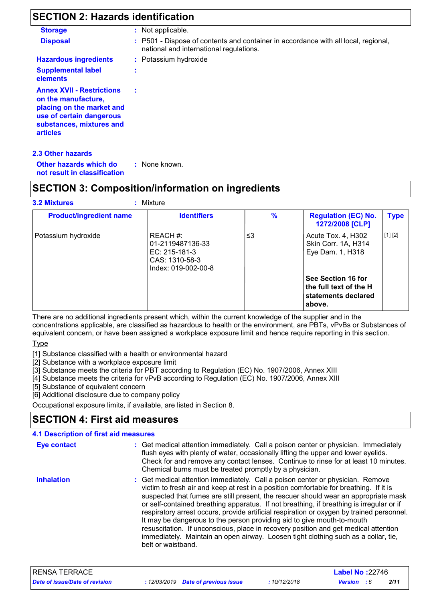# **SECTION 2: Hazards identification**

| <b>Storage</b>                                                                                                                                                  | : Not applicable.                                                                                                             |
|-----------------------------------------------------------------------------------------------------------------------------------------------------------------|-------------------------------------------------------------------------------------------------------------------------------|
| <b>Disposal</b>                                                                                                                                                 | : P501 - Dispose of contents and container in accordance with all local, regional,<br>national and international regulations. |
| <b>Hazardous ingredients</b>                                                                                                                                    | : Potassium hydroxide                                                                                                         |
| <b>Supplemental label</b><br>elements                                                                                                                           | ٠                                                                                                                             |
| <b>Annex XVII - Restrictions</b><br>on the manufacture,<br>placing on the market and<br>use of certain dangerous<br>substances, mixtures and<br><b>articles</b> |                                                                                                                               |

**Other hazards which do : not result in classification** : None known.

### **SECTION 3: Composition/information on ingredients**

| <b>Product/ingredient name</b> | <b>Identifiers</b>                                                                       | $\frac{9}{6}$ | <b>Regulation (EC) No.</b><br>1272/2008 [CLP]                                 | <b>Type</b> |
|--------------------------------|------------------------------------------------------------------------------------------|---------------|-------------------------------------------------------------------------------|-------------|
| Potassium hydroxide            | REACH #:<br>01-2119487136-33<br>$EC: 215-181-3$<br>CAS: 1310-58-3<br>Index: 019-002-00-8 | ≤3            | Acute Tox. 4, H302<br>Skin Corr. 1A, H314<br>Eye Dam. 1, H318                 | [1] [2]     |
|                                |                                                                                          |               | See Section 16 for<br>the full text of the H<br>statements declared<br>above. |             |

There are no additional ingredients present which, within the current knowledge of the supplier and in the concentrations applicable, are classified as hazardous to health or the environment, are PBTs, vPvBs or Substances of equivalent concern, or have been assigned a workplace exposure limit and hence require reporting in this section.

**Type** 

[1] Substance classified with a health or environmental hazard

[2] Substance with a workplace exposure limit

[3] Substance meets the criteria for PBT according to Regulation (EC) No. 1907/2006, Annex XIII

[4] Substance meets the criteria for vPvB according to Regulation (EC) No. 1907/2006, Annex XIII

[5] Substance of equivalent concern

[6] Additional disclosure due to company policy

Occupational exposure limits, if available, are listed in Section 8.

# **SECTION 4: First aid measures**

| <b>4.1 Description of first aid measures</b> |                                                                                                                                                                                                                                                                                                                                                                                                                                                                                                                                                                                                                                                                                                                                       |
|----------------------------------------------|---------------------------------------------------------------------------------------------------------------------------------------------------------------------------------------------------------------------------------------------------------------------------------------------------------------------------------------------------------------------------------------------------------------------------------------------------------------------------------------------------------------------------------------------------------------------------------------------------------------------------------------------------------------------------------------------------------------------------------------|
| Eye contact                                  | : Get medical attention immediately. Call a poison center or physician. Immediately<br>flush eyes with plenty of water, occasionally lifting the upper and lower eyelids.<br>Check for and remove any contact lenses. Continue to rinse for at least 10 minutes.<br>Chemical burns must be treated promptly by a physician.                                                                                                                                                                                                                                                                                                                                                                                                           |
| <b>Inhalation</b>                            | : Get medical attention immediately. Call a poison center or physician. Remove<br>victim to fresh air and keep at rest in a position comfortable for breathing. If it is<br>suspected that fumes are still present, the rescuer should wear an appropriate mask<br>or self-contained breathing apparatus. If not breathing, if breathing is irregular or if<br>respiratory arrest occurs, provide artificial respiration or oxygen by trained personnel.<br>It may be dangerous to the person providing aid to give mouth-to-mouth<br>resuscitation. If unconscious, place in recovery position and get medical attention<br>immediately. Maintain an open airway. Loosen tight clothing such as a collar, tie,<br>belt or waistband. |

| <b>RENSA TERRACE</b>           |                                     |                         | <b>Label No: 22746</b> |      |  |
|--------------------------------|-------------------------------------|-------------------------|------------------------|------|--|
| Date of issue/Date of revision | : 12/03/2019 Date of previous issue | 10/12/2018 <sup>.</sup> | <b>Version</b> : 6     | 2/11 |  |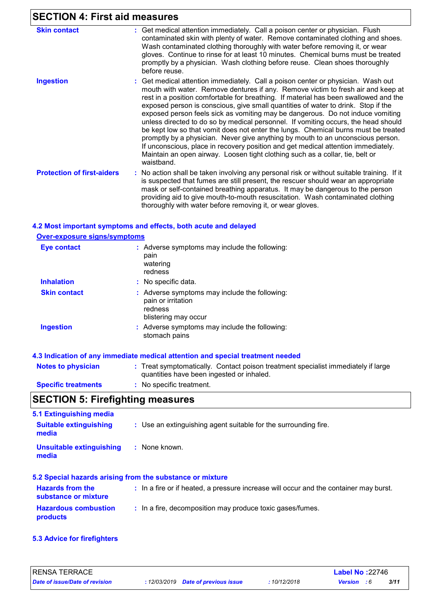## **SECTION 4: First aid measures**

| <b>Skin contact</b>               |                                                                                                                                                                                                                                                                                                                                                                                                                                                                                                                                                                                                                                                                                                                                                                                                                                                                                        |
|-----------------------------------|----------------------------------------------------------------------------------------------------------------------------------------------------------------------------------------------------------------------------------------------------------------------------------------------------------------------------------------------------------------------------------------------------------------------------------------------------------------------------------------------------------------------------------------------------------------------------------------------------------------------------------------------------------------------------------------------------------------------------------------------------------------------------------------------------------------------------------------------------------------------------------------|
|                                   | : Get medical attention immediately. Call a poison center or physician. Flush<br>contaminated skin with plenty of water. Remove contaminated clothing and shoes.<br>Wash contaminated clothing thoroughly with water before removing it, or wear<br>gloves. Continue to rinse for at least 10 minutes. Chemical burns must be treated<br>promptly by a physician. Wash clothing before reuse. Clean shoes thoroughly<br>before reuse.                                                                                                                                                                                                                                                                                                                                                                                                                                                  |
| <b>Ingestion</b>                  | : Get medical attention immediately. Call a poison center or physician. Wash out<br>mouth with water. Remove dentures if any. Remove victim to fresh air and keep at<br>rest in a position comfortable for breathing. If material has been swallowed and the<br>exposed person is conscious, give small quantities of water to drink. Stop if the<br>exposed person feels sick as vomiting may be dangerous. Do not induce vomiting<br>unless directed to do so by medical personnel. If vomiting occurs, the head should<br>be kept low so that vomit does not enter the lungs. Chemical burns must be treated<br>promptly by a physician. Never give anything by mouth to an unconscious person.<br>If unconscious, place in recovery position and get medical attention immediately.<br>Maintain an open airway. Loosen tight clothing such as a collar, tie, belt or<br>waistband. |
| <b>Protection of first-aiders</b> | : No action shall be taken involving any personal risk or without suitable training. If it<br>is suspected that fumes are still present, the rescuer should wear an appropriate<br>mask or self-contained breathing apparatus. It may be dangerous to the person<br>providing aid to give mouth-to-mouth resuscitation. Wash contaminated clothing<br>thoroughly with water before removing it, or wear gloves.                                                                                                                                                                                                                                                                                                                                                                                                                                                                        |

#### **4.2 Most important symptoms and effects, both acute and delayed**

**Over-exposure signs/symptoms**

| <b>Eye contact</b>  | : Adverse symptoms may include the following:<br>pain<br>watering<br>redness                           |
|---------------------|--------------------------------------------------------------------------------------------------------|
| <b>Inhalation</b>   | : No specific data.                                                                                    |
| <b>Skin contact</b> | : Adverse symptoms may include the following:<br>pain or irritation<br>redness<br>blistering may occur |
| <b>Ingestion</b>    | : Adverse symptoms may include the following:<br>stomach pains                                         |

#### **4.3 Indication of any immediate medical attention and special treatment needed**

| <b>Notes to physician</b>  | : Treat symptomatically. Contact poison treatment specialist immediately if large |
|----------------------------|-----------------------------------------------------------------------------------|
|                            | quantities have been ingested or inhaled.                                         |
| <b>Specific treatments</b> | No specific treatment.                                                            |

# **SECTION 5: Firefighting measures**

| 5.1 Extinguishing media                         |                                                                                       |
|-------------------------------------------------|---------------------------------------------------------------------------------------|
| <b>Suitable extinguishing</b><br>media          | : Use an extinguishing agent suitable for the surrounding fire.                       |
| <b>Unsuitable extinguishing</b><br>media        | : None known.                                                                         |
|                                                 | 5.2 Special hazards arising from the substance or mixture                             |
| <b>Hazards from the</b><br>substance or mixture | : In a fire or if heated, a pressure increase will occur and the container may burst. |
| <b>Hazardous combustion</b><br>products         | : In a fire, decomposition may produce toxic gases/fumes.                             |
|                                                 |                                                                                       |

#### **5.3 Advice for firefighters**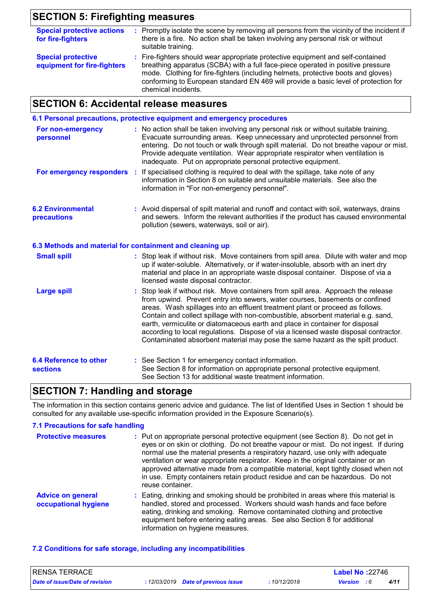# **SECTION 5: Firefighting measures**

| <b>Special protective actions</b><br>for fire-fighters   | : Promptly isolate the scene by removing all persons from the vicinity of the incident if<br>there is a fire. No action shall be taken involving any personal risk or without<br>suitable training.                                                                                                                                                                   |
|----------------------------------------------------------|-----------------------------------------------------------------------------------------------------------------------------------------------------------------------------------------------------------------------------------------------------------------------------------------------------------------------------------------------------------------------|
| <b>Special protective</b><br>equipment for fire-fighters | : Fire-fighters should wear appropriate protective equipment and self-contained<br>breathing apparatus (SCBA) with a full face-piece operated in positive pressure<br>mode. Clothing for fire-fighters (including helmets, protective boots and gloves)<br>conforming to European standard EN 469 will provide a basic level of protection for<br>chemical incidents. |

### **SECTION 6: Accidental release measures**

|                                                          | 6.1 Personal precautions, protective equipment and emergency procedures                                                                                                                                                                                                                                                                                                                                                                                                                                                                                                                         |
|----------------------------------------------------------|-------------------------------------------------------------------------------------------------------------------------------------------------------------------------------------------------------------------------------------------------------------------------------------------------------------------------------------------------------------------------------------------------------------------------------------------------------------------------------------------------------------------------------------------------------------------------------------------------|
| For non-emergency<br>personnel                           | : No action shall be taken involving any personal risk or without suitable training.<br>Evacuate surrounding areas. Keep unnecessary and unprotected personnel from<br>entering. Do not touch or walk through spilt material. Do not breathe vapour or mist.<br>Provide adequate ventilation. Wear appropriate respirator when ventilation is<br>inadequate. Put on appropriate personal protective equipment.                                                                                                                                                                                  |
| For emergency responders :                               | If specialised clothing is required to deal with the spillage, take note of any<br>information in Section 8 on suitable and unsuitable materials. See also the<br>information in "For non-emergency personnel".                                                                                                                                                                                                                                                                                                                                                                                 |
| <b>6.2 Environmental</b><br>precautions                  | : Avoid dispersal of spilt material and runoff and contact with soil, waterways, drains<br>and sewers. Inform the relevant authorities if the product has caused environmental<br>pollution (sewers, waterways, soil or air).                                                                                                                                                                                                                                                                                                                                                                   |
| 6.3 Methods and material for containment and cleaning up |                                                                                                                                                                                                                                                                                                                                                                                                                                                                                                                                                                                                 |
| <b>Small spill</b>                                       | : Stop leak if without risk. Move containers from spill area. Dilute with water and mop<br>up if water-soluble. Alternatively, or if water-insoluble, absorb with an inert dry<br>material and place in an appropriate waste disposal container. Dispose of via a<br>licensed waste disposal contractor.                                                                                                                                                                                                                                                                                        |
| <b>Large spill</b>                                       | Stop leak if without risk. Move containers from spill area. Approach the release<br>from upwind. Prevent entry into sewers, water courses, basements or confined<br>areas. Wash spillages into an effluent treatment plant or proceed as follows.<br>Contain and collect spillage with non-combustible, absorbent material e.g. sand,<br>earth, vermiculite or diatomaceous earth and place in container for disposal<br>according to local regulations. Dispose of via a licensed waste disposal contractor.<br>Contaminated absorbent material may pose the same hazard as the spilt product. |
| <b>6.4 Reference to other</b><br><b>sections</b>         | : See Section 1 for emergency contact information.<br>See Section 8 for information on appropriate personal protective equipment.<br>See Section 13 for additional waste treatment information.                                                                                                                                                                                                                                                                                                                                                                                                 |

# **SECTION 7: Handling and storage**

The information in this section contains generic advice and guidance. The list of Identified Uses in Section 1 should be consulted for any available use-specific information provided in the Exposure Scenario(s).

#### **7.1 Precautions for safe handling**

| <b>Protective measures</b>                       | : Put on appropriate personal protective equipment (see Section 8). Do not get in<br>eyes or on skin or clothing. Do not breathe vapour or mist. Do not ingest. If during<br>normal use the material presents a respiratory hazard, use only with adequate<br>ventilation or wear appropriate respirator. Keep in the original container or an<br>approved alternative made from a compatible material, kept tightly closed when not<br>in use. Empty containers retain product residue and can be hazardous. Do not<br>reuse container. |
|--------------------------------------------------|------------------------------------------------------------------------------------------------------------------------------------------------------------------------------------------------------------------------------------------------------------------------------------------------------------------------------------------------------------------------------------------------------------------------------------------------------------------------------------------------------------------------------------------|
| <b>Advice on general</b><br>occupational hygiene | : Eating, drinking and smoking should be prohibited in areas where this material is<br>handled, stored and processed. Workers should wash hands and face before<br>eating, drinking and smoking. Remove contaminated clothing and protective<br>equipment before entering eating areas. See also Section 8 for additional<br>information on hygiene measures.                                                                                                                                                                            |

#### **7.2 Conditions for safe storage, including any incompatibilities**

| RENSA TERRACE                  |                                     |            | <b>Label No: 22746</b> |      |  |
|--------------------------------|-------------------------------------|------------|------------------------|------|--|
| Date of issue/Date of revision | : 12/03/2019 Date of previous issue | 10/12/2018 | <b>Version</b> : 6     | 4/11 |  |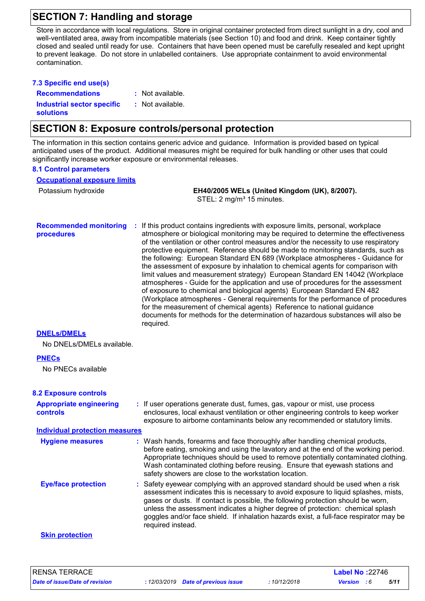### **SECTION 7: Handling and storage**

Store in accordance with local regulations. Store in original container protected from direct sunlight in a dry, cool and well-ventilated area, away from incompatible materials (see Section 10) and food and drink. Keep container tightly closed and sealed until ready for use. Containers that have been opened must be carefully resealed and kept upright to prevent leakage. Do not store in unlabelled containers. Use appropriate containment to avoid environmental contamination.

| 7.3 Specific end use(s)                               |                  |
|-------------------------------------------------------|------------------|
| <b>Recommendations</b>                                | : Not available. |
| <b>Industrial sector specific</b><br><b>solutions</b> | : Not available. |

### **SECTION 8: Exposure controls/personal protection**

The information in this section contains generic advice and guidance. Information is provided based on typical anticipated uses of the product. Additional measures might be required for bulk handling or other uses that could significantly increase worker exposure or environmental releases.

#### **8.1 Control parameters**

**Occupational exposure limits**

Potassium hydroxide **EH40/2005 WELs (United Kingdom (UK), 8/2007).** STEL: 2 mg/m<sup>3</sup> 15 minutes.

**Recommended monitoring procedures :** If this product contains ingredients with exposure limits, personal, workplace atmosphere or biological monitoring may be required to determine the effectiveness of the ventilation or other control measures and/or the necessity to use respiratory protective equipment. Reference should be made to monitoring standards, such as the following: European Standard EN 689 (Workplace atmospheres - Guidance for the assessment of exposure by inhalation to chemical agents for comparison with limit values and measurement strategy) European Standard EN 14042 (Workplace atmospheres - Guide for the application and use of procedures for the assessment of exposure to chemical and biological agents) European Standard EN 482 (Workplace atmospheres - General requirements for the performance of procedures for the measurement of chemical agents) Reference to national guidance documents for methods for the determination of hazardous substances will also be required.

#### **DNELs/DMELs**

No DNELs/DMELs available.

#### **PNECs**

No PNECs available

#### **8.2 Exposure controls**

| <b>Appropriate engineering</b><br><b>controls</b> | : If user operations generate dust, fumes, gas, vapour or mist, use process<br>enclosures, local exhaust ventilation or other engineering controls to keep worker<br>exposure to airborne contaminants below any recommended or statutory limits.                                                                                                                                                                                                           |
|---------------------------------------------------|-------------------------------------------------------------------------------------------------------------------------------------------------------------------------------------------------------------------------------------------------------------------------------------------------------------------------------------------------------------------------------------------------------------------------------------------------------------|
| <b>Individual protection measures</b>             |                                                                                                                                                                                                                                                                                                                                                                                                                                                             |
| <b>Hygiene measures</b>                           | : Wash hands, forearms and face thoroughly after handling chemical products,<br>before eating, smoking and using the lavatory and at the end of the working period.<br>Appropriate techniques should be used to remove potentially contaminated clothing.<br>Wash contaminated clothing before reusing. Ensure that eyewash stations and<br>safety showers are close to the workstation location.                                                           |
| <b>Eye/face protection</b>                        | : Safety eyewear complying with an approved standard should be used when a risk<br>assessment indicates this is necessary to avoid exposure to liquid splashes, mists,<br>gases or dusts. If contact is possible, the following protection should be worn,<br>unless the assessment indicates a higher degree of protection: chemical splash<br>goggles and/or face shield. If inhalation hazards exist, a full-face respirator may be<br>required instead. |
| <b>Skin protection</b>                            |                                                                                                                                                                                                                                                                                                                                                                                                                                                             |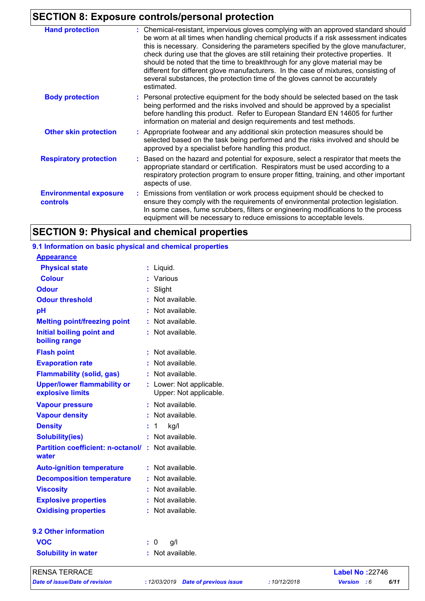### **SECTION 8: Exposure controls/personal protection**

| <b>Hand protection</b>                           | : Chemical-resistant, impervious gloves complying with an approved standard should<br>be worn at all times when handling chemical products if a risk assessment indicates<br>this is necessary. Considering the parameters specified by the glove manufacturer,<br>check during use that the gloves are still retaining their protective properties. It<br>should be noted that the time to breakthrough for any glove material may be<br>different for different glove manufacturers. In the case of mixtures, consisting of<br>several substances, the protection time of the gloves cannot be accurately<br>estimated. |
|--------------------------------------------------|---------------------------------------------------------------------------------------------------------------------------------------------------------------------------------------------------------------------------------------------------------------------------------------------------------------------------------------------------------------------------------------------------------------------------------------------------------------------------------------------------------------------------------------------------------------------------------------------------------------------------|
| <b>Body protection</b>                           | : Personal protective equipment for the body should be selected based on the task<br>being performed and the risks involved and should be approved by a specialist<br>before handling this product. Refer to European Standard EN 14605 for further<br>information on material and design requirements and test methods.                                                                                                                                                                                                                                                                                                  |
| <b>Other skin protection</b>                     | : Appropriate footwear and any additional skin protection measures should be<br>selected based on the task being performed and the risks involved and should be<br>approved by a specialist before handling this product.                                                                                                                                                                                                                                                                                                                                                                                                 |
| <b>Respiratory protection</b>                    | : Based on the hazard and potential for exposure, select a respirator that meets the<br>appropriate standard or certification. Respirators must be used according to a<br>respiratory protection program to ensure proper fitting, training, and other important<br>aspects of use.                                                                                                                                                                                                                                                                                                                                       |
| <b>Environmental exposure</b><br><b>controls</b> | Emissions from ventilation or work process equipment should be checked to<br>ensure they comply with the requirements of environmental protection legislation.<br>In some cases, fume scrubbers, filters or engineering modifications to the process<br>equipment will be necessary to reduce emissions to acceptable levels.                                                                                                                                                                                                                                                                                             |

### **SECTION 9: Physical and chemical properties**

#### **9.1 Information on basic physical and chemical properties :** Not available. **Physical state Melting point/freezing point Initial boiling point and boiling range Vapour pressure Vapour density Solubility(ies)** Liquid. **: :** Not available. **:** Not available. **:** Not available. **:** Not available. **Odour pH Colour Evaporation rate Auto-ignition temperature Flash point :** Not available. **:** Not available. **:** Not available. **Partition coefficient: n-octanol/ :** Not available. **Viscosity Not available. Not available. Odour threshold water Upper/lower flammability or explosive limits Explosive properties :** Slight **:** Various : Not available. : Not available. **:** Not available. **:** Lower: Not applicable. **Oxidising properties** : Not available. **Appearance 9.2 Other information Decomposition temperature :** Not available. **Flammability (solid, gas) :** Not available. **Solubility in water :** Not available. Upper: Not applicable. **Density :** 1 kg/l **VOC :** 0 g/l RENSA TERRACE **Label No :**22746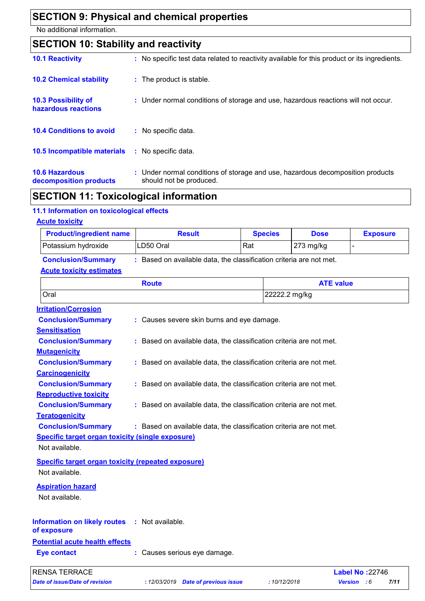# **SECTION 9: Physical and chemical properties**

No additional information.

| <b>SECTION 10: Stability and reactivity</b>       |                                                                                                           |
|---------------------------------------------------|-----------------------------------------------------------------------------------------------------------|
| <b>10.1 Reactivity</b>                            | : No specific test data related to reactivity available for this product or its ingredients.              |
| <b>10.2 Chemical stability</b>                    | : The product is stable.                                                                                  |
| <b>10.3 Possibility of</b><br>hazardous reactions | : Under normal conditions of storage and use, hazardous reactions will not occur.                         |
| <b>10.4 Conditions to avoid</b>                   | : No specific data.                                                                                       |
| <b>10.5 Incompatible materials</b>                | : No specific data.                                                                                       |
| <b>10.6 Hazardous</b><br>decomposition products   | : Under normal conditions of storage and use, hazardous decomposition products<br>should not be produced. |

# **SECTION 11: Toxicological information**

# **11.1 Information on toxicological effects**

**Acute toxicity**

| <b>Product/ingredient name</b>                               | <b>Result</b>                                                       | <b>Species</b> | <b>Dose</b>      | <b>Exposure</b>        |
|--------------------------------------------------------------|---------------------------------------------------------------------|----------------|------------------|------------------------|
| Potassium hydroxide                                          | LD50 Oral                                                           | Rat            | 273 mg/kg        |                        |
| <b>Conclusion/Summary</b><br><b>Acute toxicity estimates</b> | : Based on available data, the classification criteria are not met. |                |                  |                        |
|                                                              | <b>Route</b>                                                        |                | <b>ATE value</b> |                        |
| Oral                                                         |                                                                     |                | 22222.2 mg/kg    |                        |
| <b>Irritation/Corrosion</b>                                  |                                                                     |                |                  |                        |
| <b>Conclusion/Summary</b>                                    | : Causes severe skin burns and eye damage.                          |                |                  |                        |
| <b>Sensitisation</b>                                         |                                                                     |                |                  |                        |
| <b>Conclusion/Summary</b>                                    | : Based on available data, the classification criteria are not met. |                |                  |                        |
| <b>Mutagenicity</b>                                          |                                                                     |                |                  |                        |
| <b>Conclusion/Summary</b>                                    | : Based on available data, the classification criteria are not met. |                |                  |                        |
| <b>Carcinogenicity</b>                                       |                                                                     |                |                  |                        |
| <b>Conclusion/Summary</b>                                    | : Based on available data, the classification criteria are not met. |                |                  |                        |
| <b>Reproductive toxicity</b>                                 |                                                                     |                |                  |                        |
| <b>Conclusion/Summary</b>                                    | : Based on available data, the classification criteria are not met. |                |                  |                        |
| <b>Teratogenicity</b>                                        |                                                                     |                |                  |                        |
| <b>Conclusion/Summary</b>                                    | : Based on available data, the classification criteria are not met. |                |                  |                        |
| <b>Specific target organ toxicity (single exposure)</b>      |                                                                     |                |                  |                        |
| Not available.                                               |                                                                     |                |                  |                        |
| <b>Specific target organ toxicity (repeated exposure)</b>    |                                                                     |                |                  |                        |
| Not available.                                               |                                                                     |                |                  |                        |
| <b>Aspiration hazard</b>                                     |                                                                     |                |                  |                        |
| Not available.                                               |                                                                     |                |                  |                        |
|                                                              |                                                                     |                |                  |                        |
| <b>Information on likely routes</b><br>of exposure           | : Not available.                                                    |                |                  |                        |
| <b>Potential acute health effects</b>                        |                                                                     |                |                  |                        |
| <b>Eye contact</b>                                           | : Causes serious eye damage.                                        |                |                  |                        |
| <b>RENSA TERRACE</b>                                         |                                                                     |                |                  | <b>Label No: 22746</b> |
| <b>Date of issue/Date of revision</b>                        | : 12/03/2019 Date of previous issue                                 |                | :10/12/2018      | 7/11<br>Version : 6    |
|                                                              |                                                                     |                |                  |                        |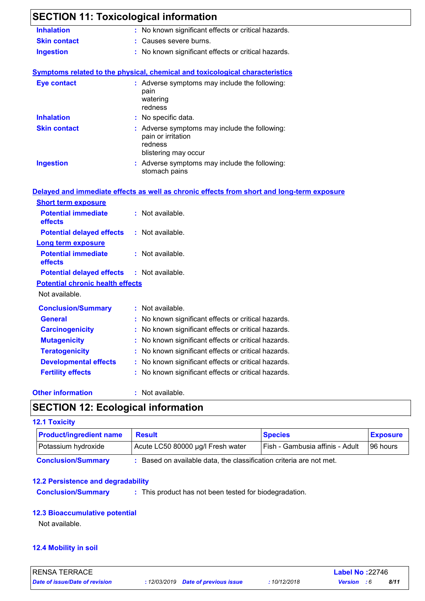| <b>SECTION 11: Toxicological information</b><br><b>Inhalation</b>  | : No known significant effects or critical hazards.                                                            |  |
|--------------------------------------------------------------------|----------------------------------------------------------------------------------------------------------------|--|
| <b>Skin contact</b>                                                | : Causes severe burns.                                                                                         |  |
| <b>Ingestion</b>                                                   | : No known significant effects or critical hazards.                                                            |  |
|                                                                    | Symptoms related to the physical, chemical and toxicological characteristics                                   |  |
| <b>Eye contact</b>                                                 | : Adverse symptoms may include the following:<br>pain<br>watering<br>redness                                   |  |
| <b>Inhalation</b>                                                  | : No specific data.                                                                                            |  |
| <b>Skin contact</b>                                                | : Adverse symptoms may include the following:<br>pain or irritation<br>redness<br>blistering may occur         |  |
| <b>Ingestion</b>                                                   | : Adverse symptoms may include the following:                                                                  |  |
|                                                                    | stomach pains                                                                                                  |  |
| <b>Short term exposure</b><br><b>Potential immediate</b>           | Delayed and immediate effects as well as chronic effects from short and long-term exposure<br>: Not available. |  |
| effects                                                            |                                                                                                                |  |
| <b>Potential delayed effects</b>                                   | : Not available.                                                                                               |  |
| <b>Long term exposure</b><br><b>Potential immediate</b><br>effects | : Not available.                                                                                               |  |
| <b>Potential delayed effects</b>                                   | : Not available.                                                                                               |  |
| <b>Potential chronic health effects</b>                            |                                                                                                                |  |
| Not available.                                                     |                                                                                                                |  |
|                                                                    | : Not available.                                                                                               |  |
| <b>Conclusion/Summary</b><br><b>General</b>                        | : No known significant effects or critical hazards.                                                            |  |
| <b>Carcinogenicity</b>                                             | : No known significant effects or critical hazards.                                                            |  |
| <b>Mutagenicity</b>                                                | No known significant effects or critical hazards.                                                              |  |
| <b>Teratogenicity</b>                                              | No known significant effects or critical hazards.                                                              |  |
| <b>Developmental effects</b>                                       | : No known significant effects or critical hazards.                                                            |  |

#### **Other information :**

#### : Not available.

# **SECTION 12: Ecological information**

### **12.1 Toxicity**

| <b>Product/ingredient name</b> | <b>Result</b>                                                     | <b>Species</b>                  | <b>Exposure</b> |
|--------------------------------|-------------------------------------------------------------------|---------------------------------|-----------------|
| Potassium hydroxide            | Acute LC50 80000 µg/l Fresh water                                 | Fish - Gambusia affinis - Adult | 196 hours       |
| <b>Conclusion/Summary</b>      | Based on available data, the classification criteria are not met. |                                 |                 |

### **12.2 Persistence and degradability**

**Conclusion/Summary :** This product has not been tested for biodegradation.

### **12.3 Bioaccumulative potential**

Not available.

### **12.4 Mobility in soil**

| <b>RENSA TERRACE</b>           |                                      |              | <b>Label No: 22746</b> |      |  |
|--------------------------------|--------------------------------------|--------------|------------------------|------|--|
| Date of issue/Date of revision | : 12/03/2019  Date of previous issue | : 10/12/2018 | <b>Version</b> : 6     | 8/11 |  |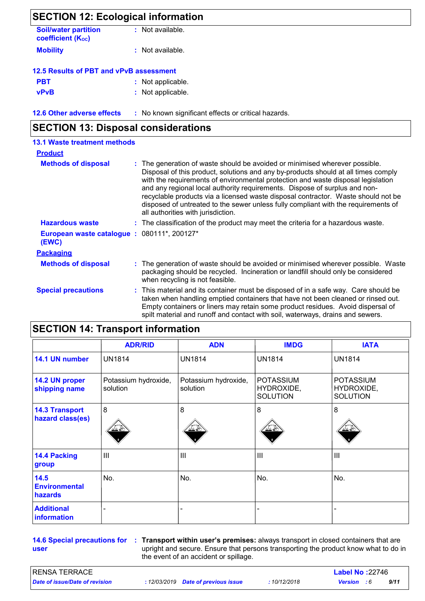| <b>SECTION 12: Ecological information</b>               |                                                     |  |  |  |
|---------------------------------------------------------|-----------------------------------------------------|--|--|--|
| <b>Soil/water partition</b><br><b>coefficient (Koc)</b> | : Not available.                                    |  |  |  |
| <b>Mobility</b>                                         | : Not available.                                    |  |  |  |
| 12.5 Results of PBT and vPvB assessment                 |                                                     |  |  |  |
| <b>PBT</b>                                              | : Not applicable.                                   |  |  |  |
| <b>vPvB</b>                                             | : Not applicable.                                   |  |  |  |
| <b>12.6 Other adverse effects</b>                       | : No known significant effects or critical hazards. |  |  |  |

# **SECTION 13: Disposal considerations**

| <b>13.1 Waste treatment methods</b>                 |                                                                                                                                                                                                                                                                                                                                                                                                                                                                                                                                                    |
|-----------------------------------------------------|----------------------------------------------------------------------------------------------------------------------------------------------------------------------------------------------------------------------------------------------------------------------------------------------------------------------------------------------------------------------------------------------------------------------------------------------------------------------------------------------------------------------------------------------------|
| <b>Product</b>                                      |                                                                                                                                                                                                                                                                                                                                                                                                                                                                                                                                                    |
| <b>Methods of disposal</b>                          | The generation of waste should be avoided or minimised wherever possible.<br>Disposal of this product, solutions and any by-products should at all times comply<br>with the requirements of environmental protection and waste disposal legislation<br>and any regional local authority requirements. Dispose of surplus and non-<br>recyclable products via a licensed waste disposal contractor. Waste should not be<br>disposed of untreated to the sewer unless fully compliant with the requirements of<br>all authorities with jurisdiction. |
| <b>Hazardous waste</b>                              | : The classification of the product may meet the criteria for a hazardous waste.                                                                                                                                                                                                                                                                                                                                                                                                                                                                   |
| European waste catalogue: 080111*, 200127*<br>(EWC) |                                                                                                                                                                                                                                                                                                                                                                                                                                                                                                                                                    |
| <b>Packaging</b>                                    |                                                                                                                                                                                                                                                                                                                                                                                                                                                                                                                                                    |
| <b>Methods of disposal</b>                          | : The generation of waste should be avoided or minimised wherever possible. Waste<br>packaging should be recycled. Incineration or landfill should only be considered<br>when recycling is not feasible.                                                                                                                                                                                                                                                                                                                                           |
| <b>Special precautions</b>                          | : This material and its container must be disposed of in a safe way. Care should be<br>taken when handling emptied containers that have not been cleaned or rinsed out.<br>Empty containers or liners may retain some product residues. Avoid dispersal of<br>spilt material and runoff and contact with soil, waterways, drains and sewers.                                                                                                                                                                                                       |

|                                           | <b>ADR/RID</b>                   | <b>ADN</b>                       | <b>IMDG</b>                                       | <b>IATA</b>                                       |
|-------------------------------------------|----------------------------------|----------------------------------|---------------------------------------------------|---------------------------------------------------|
| 14.1 UN number                            | <b>UN1814</b>                    | <b>UN1814</b>                    | <b>UN1814</b>                                     | <b>UN1814</b>                                     |
| 14.2 UN proper<br>shipping name           | Potassium hydroxide,<br>solution | Potassium hydroxide,<br>solution | <b>POTASSIUM</b><br>HYDROXIDE,<br><b>SOLUTION</b> | <b>POTASSIUM</b><br>HYDROXIDE,<br><b>SOLUTION</b> |
| <b>14.3 Transport</b><br>hazard class(es) | 8                                | 8<br>-≚*                         | 8<br>ثے کنٰذ                                      | 8                                                 |
| <b>14.4 Packing</b><br>group              | $\mathbf{III}$                   | $\mathbf{III}$                   | III                                               | III                                               |
| 14.5<br><b>Environmental</b><br>hazards   | No.                              | No.                              | No.                                               | No.                                               |
| <b>Additional</b><br>information          |                                  |                                  |                                                   |                                                   |

**user**

**14.6 Special precautions for : Transport within user's premises:** always transport in closed containers that are upright and secure. Ensure that persons transporting the product know what to do in the event of an accident or spillage.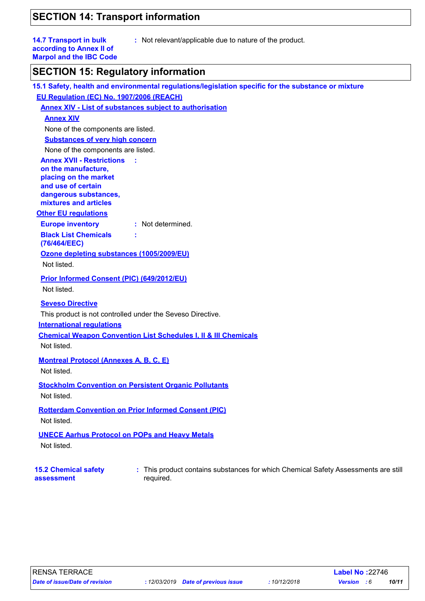# **SECTION 14: Transport information**

| <b>14.7 Transport in bulk</b><br>: Not relevant/applicable due to nature of the product.<br>according to Annex II of<br><b>Marpol and the IBC Code</b> |
|--------------------------------------------------------------------------------------------------------------------------------------------------------|
| <b>SECTION 15: Regulatory information</b>                                                                                                              |
| 15.1 Safety, health and environmental regulations/legislation specific for the substance or mixture                                                    |
| EU Regulation (EC) No. 1907/2006 (REACH)                                                                                                               |
| <b>Annex XIV - List of substances subject to authorisation</b>                                                                                         |
| <b>Annex XIV</b>                                                                                                                                       |
| None of the components are listed.                                                                                                                     |
| <b>Substances of very high concern</b>                                                                                                                 |
| None of the components are listed.                                                                                                                     |
| <b>Annex XVII - Restrictions</b>                                                                                                                       |
| on the manufacture,                                                                                                                                    |
| placing on the market<br>and use of certain                                                                                                            |
| dangerous substances,                                                                                                                                  |
| mixtures and articles                                                                                                                                  |
| <b>Other EU regulations</b>                                                                                                                            |
| <b>Europe inventory</b><br>: Not determined.                                                                                                           |
| <b>Black List Chemicals</b><br>(76/464/EEC)                                                                                                            |
| Ozone depleting substances (1005/2009/EU)                                                                                                              |
| Not listed.                                                                                                                                            |
| Prior Informed Consent (PIC) (649/2012/EU)                                                                                                             |
| Not listed.                                                                                                                                            |
|                                                                                                                                                        |
| <b>Seveso Directive</b>                                                                                                                                |
| This product is not controlled under the Seveso Directive.                                                                                             |
| <b>International requlations</b>                                                                                                                       |
| <b>Chemical Weapon Convention List Schedules I, II &amp; III Chemicals</b>                                                                             |
| Not listed.                                                                                                                                            |
| <b>Montreal Protocol (Annexes A, B, C, E)</b>                                                                                                          |
| Not listed.                                                                                                                                            |
| <b>Stockholm Convention on Persistent Organic Pollutants</b>                                                                                           |
| Not listed.                                                                                                                                            |
|                                                                                                                                                        |
| <b>Rotterdam Convention on Prior Informed Consent (PIC)</b>                                                                                            |
| Not listed.                                                                                                                                            |
| <b>UNECE Aarhus Protocol on POPs and Heavy Metals</b>                                                                                                  |
| Not listed.                                                                                                                                            |
|                                                                                                                                                        |
| : This product contains substances for which Chemical Safety Assessments are still<br><b>15.2 Chemical safety</b><br>required.<br>assessment           |

*Date of issue/Date of revision* **:** *12/03/2019 Date of previous issue : 10/12/2018 Version : 6 10/11*

RENSA TERRACE **Label No :**22746